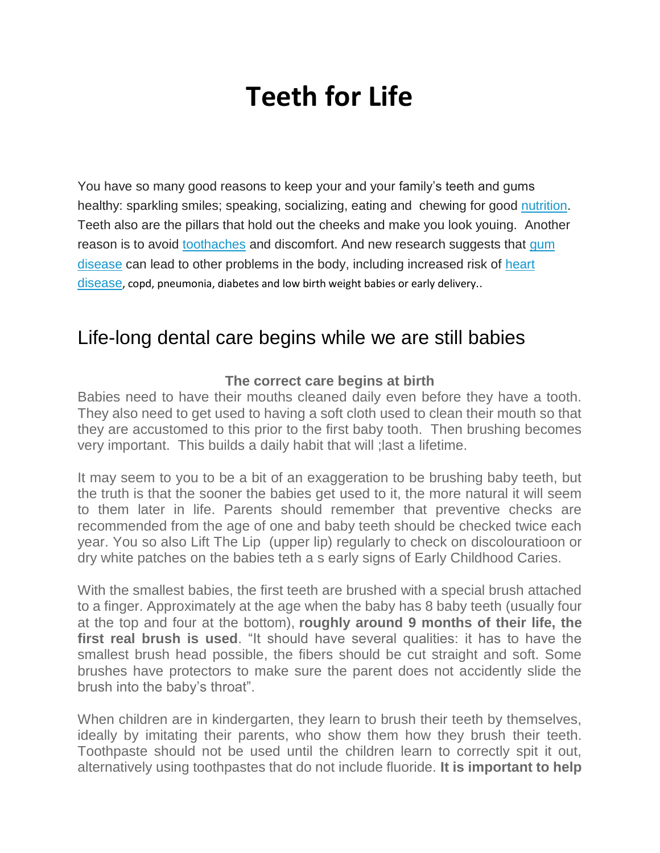# **Teeth for Life**

You have so many good reasons to keep your and your family's teeth and gums healthy: sparkling smiles; speaking, socializing, eating and chewing for good [nutrition.](http://www.webmd.com/diet/rm-quiz-nutrition-iq) Teeth also are the pillars that hold out the cheeks and make you look youing. Another reason is to avoid [toothaches](http://www.webmd.com/oral-health/guide/toothaches) and discomfort. And new research suggests that [gum](http://www.webmd.com/oral-health/guide/gingivitis-periodontal-disease)  [disease](http://www.webmd.com/oral-health/guide/gingivitis-periodontal-disease) can lead to other problems in the body, including increased risk of [heart](http://www.webmd.com/heart-disease/default.htm)  [disease](http://www.webmd.com/heart-disease/default.htm), copd, pneumonia, diabetes and low birth weight babies or early delivery..

## Life-long dental care begins while we are still babies

#### **The correct care begins at birth**

Babies need to have their mouths cleaned daily even before they have a tooth. They also need to get used to having a soft cloth used to clean their mouth so that they are accustomed to this prior to the first baby tooth. Then brushing becomes very important. This builds a daily habit that will ;last a lifetime.

It may seem to you to be a bit of an exaggeration to be brushing baby teeth, but the truth is that the sooner the babies get used to it, the more natural it will seem to them later in life. Parents should remember that preventive checks are recommended from the age of one and baby teeth should be checked twice each year. You so also Lift The Lip (upper lip) regularly to check on discolouratioon or dry white patches on the babies teth a s early signs of Early Childhood Caries.

With the smallest babies, the first teeth are brushed with a special brush attached to a finger. Approximately at the age when the baby has 8 baby teeth (usually four at the top and four at the bottom), **roughly around 9 months of their life, the first real brush is used**. "It should have several qualities: it has to have the smallest brush head possible, the fibers should be cut straight and soft. Some brushes have protectors to make sure the parent does not accidently slide the brush into the baby's throat".

When children are in kindergarten, they learn to brush their teeth by themselves, ideally by imitating their parents, who show them how they brush their teeth. Toothpaste should not be used until the children learn to correctly spit it out, alternatively using toothpastes that do not include fluoride. **It is important to help**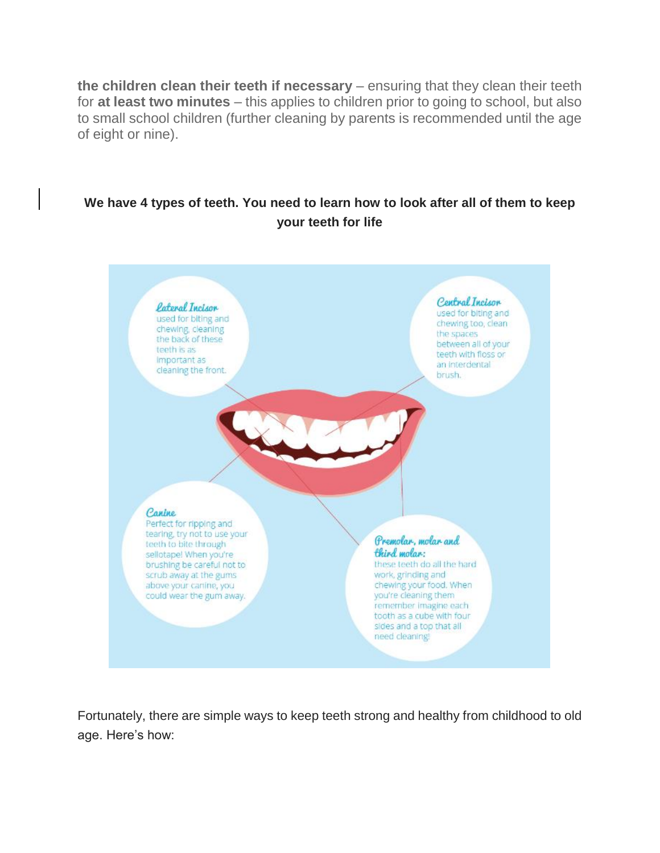**the children clean their teeth if necessary** – ensuring that they clean their teeth for **at least two minutes** – this applies to children prior to going to school, but also to small school children (further cleaning by parents is recommended until the age of eight or nine).

### **We have 4 types of teeth. You need to learn how to look after all of them to keep your teeth for life**



Fortunately, there are simple ways to keep teeth strong and healthy from childhood to old age. Here's how: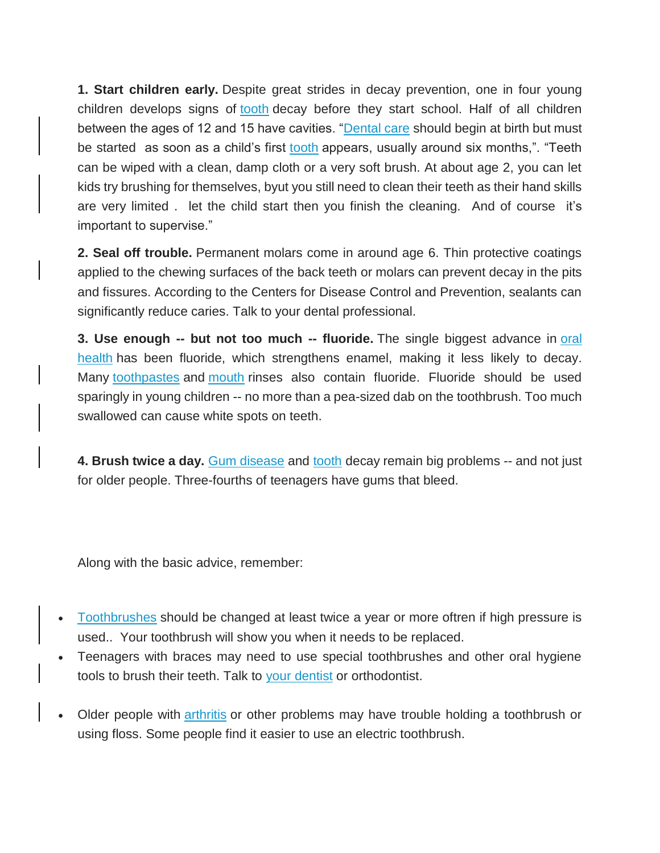**1. Start children early.** Despite great strides in decay prevention, one in four young children develops signs of [tooth](http://www.webmd.com/oral-health/picture-of-the-teeth) decay before they start school. Half of all children between the ages of 12 and 15 have cavities. ["Dental care](http://www.webmd.com/oral-health/ss/slideshow-tooth-problems) should begin at birth but must be started as soon as a child's first [tooth](http://www.webmd.com/oral-health/dental-care-smile-10/slideshow-pretty-teeth) appears, usually around six months,". "Teeth can be wiped with a clean, damp cloth or a very soft brush. At about age 2, you can let kids try brushing for themselves, byut you still need to clean their teeth as their hand skills are very limited . let the child start then you finish the cleaning. And of course it's important to supervise."

**2. Seal off trouble.** Permanent molars come in around age 6. Thin protective coatings applied to the chewing surfaces of the back teeth or molars can prevent decay in the pits and fissures. According to the Centers for Disease Control and Prevention, sealants can significantly reduce caries. Talk to your dental professional.

**3. Use enough -- but not too much -- fluoride.** The single biggest advance in [oral](http://www.webmd.com/oral-health/default.htm)  [health](http://www.webmd.com/oral-health/default.htm) has been fluoride, which strengthens enamel, making it less likely to decay. Many [toothpastes](http://www.webmd.com/oral-health/guide/weighing-your-toothpaste-options) and [mouth](http://www.webmd.com/oral-health/anatomy-of-the-mouth) rinses also contain fluoride. Fluoride should be used sparingly in young children -- no more than a pea-sized dab on the toothbrush. Too much swallowed can cause white spots on teeth.

**4. Brush twice a day.** [Gum disease](http://www.webmd.com/oral-health/video/dangers-gum-disease) and [tooth](http://www.webmd.com/oral-health/rm-quiz-what-do-you-know-about-your-teeth) decay remain big problems -- and not just for older people. Three-fourths of teenagers have gums that bleed.

Along with the basic advice, remember:

- [Toothbrushes](http://www.webmd.com/oral-health/guide/choosing-a-toothbrush-the-pros-and-cons-of-electric-and-disposable) should be changed at least twice a year or more oftren if high pressure is used.. Your toothbrush will show you when it needs to be replaced.
- Teenagers with braces may need to use special toothbrushes and other oral hygiene tools to brush their teeth. Talk to your dentist or orthodontist.
- Older people with [arthritis](http://www.webmd.com/arthritis/default.htm) or other problems may have trouble holding a toothbrush or using floss. Some people find it easier to use an electric toothbrush.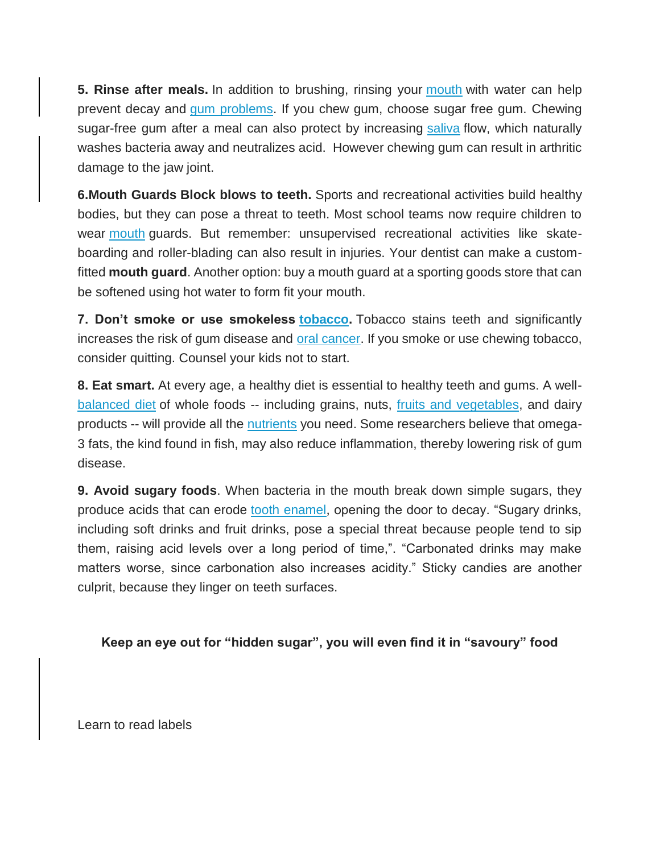**5. Rinse after meals.** In addition to brushing, rinsing your [mouth](http://www.webmd.com/oral-health/ss/slideshow-mouth-problems) with water can help prevent decay and [gum problems.](http://www.webmd.com/oral-health/guide/gum-problem-basics-sore-swollen-and-bleeding-gums) If you chew gum, choose sugar free gum. Chewing sugar-free gum after a meal can also protect by increasing [saliva](http://www.webmd.com/oral-health/what-is-saliva) flow, which naturally washes bacteria away and neutralizes acid. However chewing gum can result in arthritic damage to the jaw joint.

**6.Mouth Guards Block blows to teeth.** Sports and recreational activities build healthy bodies, but they can pose a threat to teeth. Most school teams now require children to wear [mouth](http://www.webmd.com/oral-health/rm-quiz-mouth-myths) guards. But remember: unsupervised recreational activities like skateboarding and roller-blading can also result in injuries. Your dentist can make a customfitted **mouth guard**. Another option: buy a mouth guard at a sporting goods store that can be softened using hot water to form fit your mouth.

**7. Don't smoke or use smokeless [tobacco.](http://www.webmd.com/smoking-cessation/ss/slideshow-tips-quit-smoking)** Tobacco stains teeth and significantly increases the risk of gum disease and [oral cancer.](http://www.webmd.com/oral-health/guide/oral-cancer) If you smoke or use chewing tobacco, consider quitting. Counsel your kids not to start.

**8. Eat smart.** At every age, a healthy diet is essential to healthy teeth and gums. A well[balanced diet](http://www.webmd.com/diet/default.htm) of whole foods -- including grains, nuts, [fruits and vegetables,](http://www.webmd.com/food-recipes/ss/slideshow-exotic-fruits) and dairy products -- will provide all the [nutrients](http://www.webmd.com/a-to-z-guides/major-nutrients-in-food-topic-overview) you need. Some researchers believe that omega-3 fats, the kind found in fish, may also reduce inflammation, thereby lowering risk of gum disease.

**9. Avoid sugary foods**. When bacteria in the mouth break down simple sugars, they produce acids that can erode [tooth enamel,](http://www.webmd.com/oral-health/guide/tooth-enamel-erosion-restoration) opening the door to decay. "Sugary drinks, including soft drinks and fruit drinks, pose a special threat because people tend to sip them, raising acid levels over a long period of time,". "Carbonated drinks may make matters worse, since carbonation also increases acidity." Sticky candies are another culprit, because they linger on teeth surfaces.

#### **Keep an eye out for "hidden sugar", you will even find it in "savoury" food**

Learn to read labels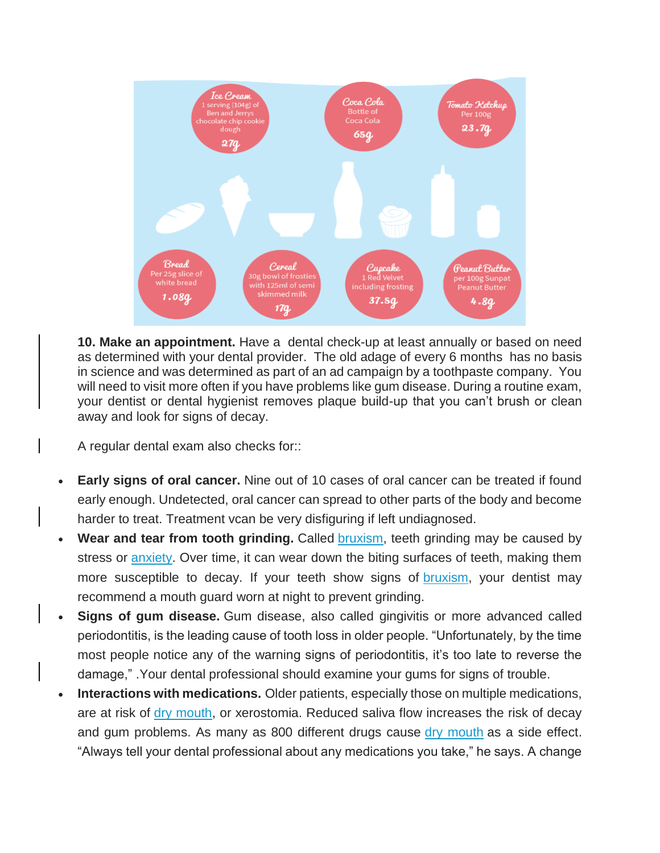

**10. Make an appointment.** Have a dental check-up at least annually or based on need as determined with your dental provider. The old adage of every 6 months has no basis in science and was determined as part of an ad campaign by a toothpaste company. You will need to visit more often if you have problems like gum disease. During a routine exam, your dentist or dental hygienist removes plaque build-up that you can't brush or clean away and look for signs of decay.

A regular dental exam also checks for::

- **Early signs of oral cancer.** Nine out of 10 cases of oral cancer can be treated if found early enough. Undetected, oral cancer can spread to other parts of the body and become harder to treat. Treatment vcan be very disfiguring if left undiagnosed.
- **Wear and tear from tooth grinding.** Called [bruxism,](http://www.webmd.com/oral-health/guide/teeth-grinding-bruxism) teeth grinding may be caused by stress or [anxiety.](http://www.webmd.com/anxiety-panic/default.htm) Over time, it can wear down the biting surfaces of teeth, making them more susceptible to decay. If your teeth show signs of [bruxism,](http://www.webmd.com/oral-health/video/stop-grinding-your-teeth) your dentist may recommend a mouth guard worn at night to prevent grinding.
- **Signs of gum disease.** Gum disease, also called gingivitis or more advanced called periodontitis, is the leading cause of tooth loss in older people. "Unfortunately, by the time most people notice any of the warning signs of periodontitis, it's too late to reverse the damage," .Your dental professional should examine your gums for signs of trouble.
- **Interactions with medications.** Older patients, especially those on multiple medications, are at risk of [dry mouth,](http://www.webmd.com/oral-health/guide/dental-health-dry-mouth) or xerostomia. Reduced saliva flow increases the risk of decay and gum problems. As many as 800 different drugs cause [dry mouth](http://www.webmd.com/oral-health/ss/slideshow-dry-mouth) as a side effect. "Always tell your dental professional about any medications you take," he says. A change